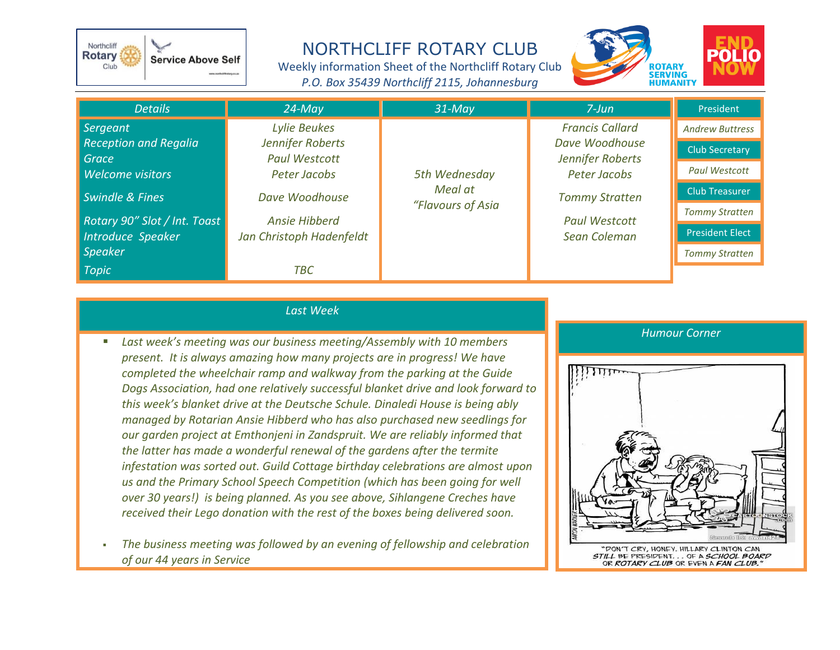

## NORTHCLIFF ROTARY CLUB

Weekly information Sheet of the Northcliff Rotary Club *P.O. Box 35439 Northcliff 2115, Johannesburg*



| <b>Details</b>                                                                                                           | $24$ -May                                                                | $31$ -May                                     | $7$ -Jun                                                                                                                                      | President                                                                                 |
|--------------------------------------------------------------------------------------------------------------------------|--------------------------------------------------------------------------|-----------------------------------------------|-----------------------------------------------------------------------------------------------------------------------------------------------|-------------------------------------------------------------------------------------------|
| Sergeant<br><b>Reception and Regalia</b><br>Grace<br>Welcome visitors                                                    | Lylie Beukes<br>Jennifer Roberts<br><b>Paul Westcott</b><br>Peter Jacobs | 5th Wednesday<br>Meal at<br>"Flavours of Asia | <b>Francis Callard</b><br>Dave Woodhouse<br>Jennifer Roberts<br>Peter Jacobs<br><b>Tommy Stratten</b><br><b>Paul Westcott</b><br>Sean Coleman | <b>Andrew Buttress</b><br><b>Club Secretary</b><br><b>Paul Westcott</b><br>Club Treasurer |
| <b>Swindle &amp; Fines</b><br>Rotary 90" Slot / Int. Toast<br><b>Introduce Speaker</b><br><b>Speaker</b><br><b>Topic</b> | Dave Woodhouse<br>Ansie Hibberd<br>Jan Christoph Hadenfeldt<br>TBC       |                                               |                                                                                                                                               | <b>Tommy Stratten</b><br><b>President Elect</b><br><b>Tommy Stratten</b>                  |

## *Last Week*

- *Last week's meeting was our business meeting/Assembly with 10 members present. It is always amazing how many projects are in progress! We have completed the wheelchair ramp and walkway from the parking at the Guide Dogs Association, had one relatively successful blanket drive and look forward to this week's blanket drive at the Deutsche Schule. Dinaledi House is being ably managed by Rotarian Ansie Hibberd who has also purchased new seedlings for our garden project at Emthonjeni in Zandspruit. We are reliably informed that the latter has made a wonderful renewal of the gardens after the termite infestation was sorted out. Guild Cottage birthday celebrations are almost upon us and the Primary School Speech Competition (which has been going for well over 30 years!) is being planned. As you see above, Sihlangene Creches have received their Lego donation with the rest of the boxes being delivered soon.*
- *The business meeting was followed by an evening of fellowship and celebration of our 44 years in Service*

## *Humour Corner*